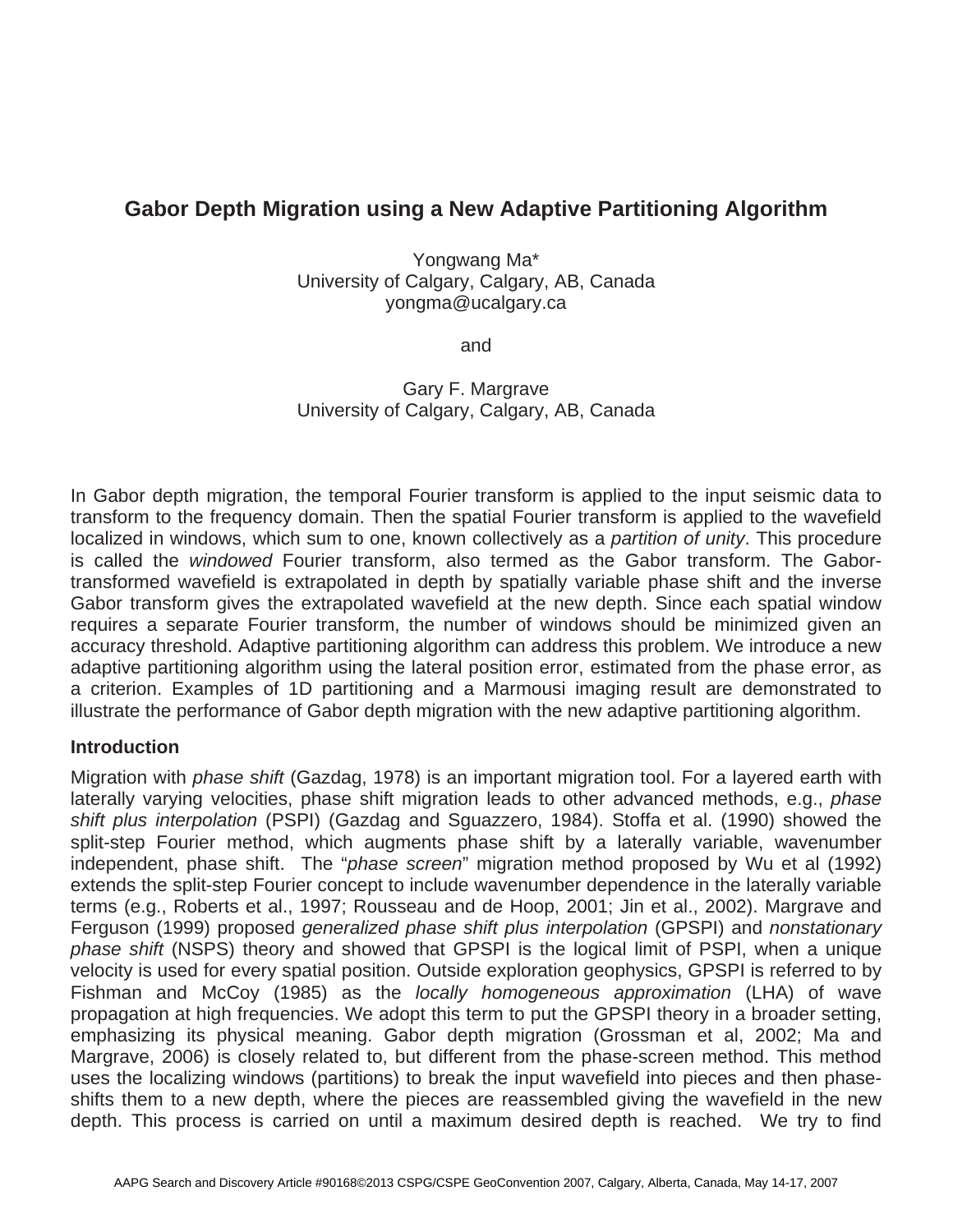# **Gabor Depth Migration using a New Adaptive Partitioning Algorithm**

Yongwang Ma\* University of Calgary, Calgary, AB, Canada yongma@ucalgary.ca

and

Gary F. Margrave University of Calgary, Calgary, AB, Canada

In Gabor depth migration, the temporal Fourier transform is applied to the input seismic data to transform to the frequency domain. Then the spatial Fourier transform is applied to the wavefield localized in windows, which sum to one, known collectively as a *partition of unity*. This procedure is called the *windowed* Fourier transform, also termed as the Gabor transform. The Gabortransformed wavefield is extrapolated in depth by spatially variable phase shift and the inverse Gabor transform gives the extrapolated wavefield at the new depth. Since each spatial window requires a separate Fourier transform, the number of windows should be minimized given an accuracy threshold. Adaptive partitioning algorithm can address this problem. We introduce a new adaptive partitioning algorithm using the lateral position error, estimated from the phase error, as a criterion. Examples of 1D partitioning and a Marmousi imaging result are demonstrated to illustrate the performance of Gabor depth migration with the new adaptive partitioning algorithm.

# **Introduction**

Migration with *phase shift* (Gazdag, 1978) is an important migration tool. For a layered earth with laterally varying velocities, phase shift migration leads to other advanced methods, e.g., *phase shift plus interpolation* (PSPI) (Gazdag and Sguazzero, 1984). Stoffa et al. (1990) showed the split-step Fourier method, which augments phase shift by a laterally variable, wavenumber independent, phase shift. The "*phase screen*" migration method proposed by Wu et al (1992) extends the split-step Fourier concept to include wavenumber dependence in the laterally variable terms (e.g., Roberts et al., 1997; Rousseau and de Hoop, 2001; Jin et al., 2002). Margrave and Ferguson (1999) proposed *generalized phase shift plus interpolation* (GPSPI) and *nonstationary phase shift* (NSPS) theory and showed that GPSPI is the logical limit of PSPI, when a unique velocity is used for every spatial position. Outside exploration geophysics, GPSPI is referred to by Fishman and McCoy (1985) as the *locally homogeneous approximation* (LHA) of wave propagation at high frequencies. We adopt this term to put the GPSPI theory in a broader setting, emphasizing its physical meaning. Gabor depth migration (Grossman et al, 2002; Ma and Margrave, 2006) is closely related to, but different from the phase-screen method. This method uses the localizing windows (partitions) to break the input wavefield into pieces and then phaseshifts them to a new depth, where the pieces are reassembled giving the wavefield in the new depth. This process is carried on until a maximum desired depth is reached. We try to find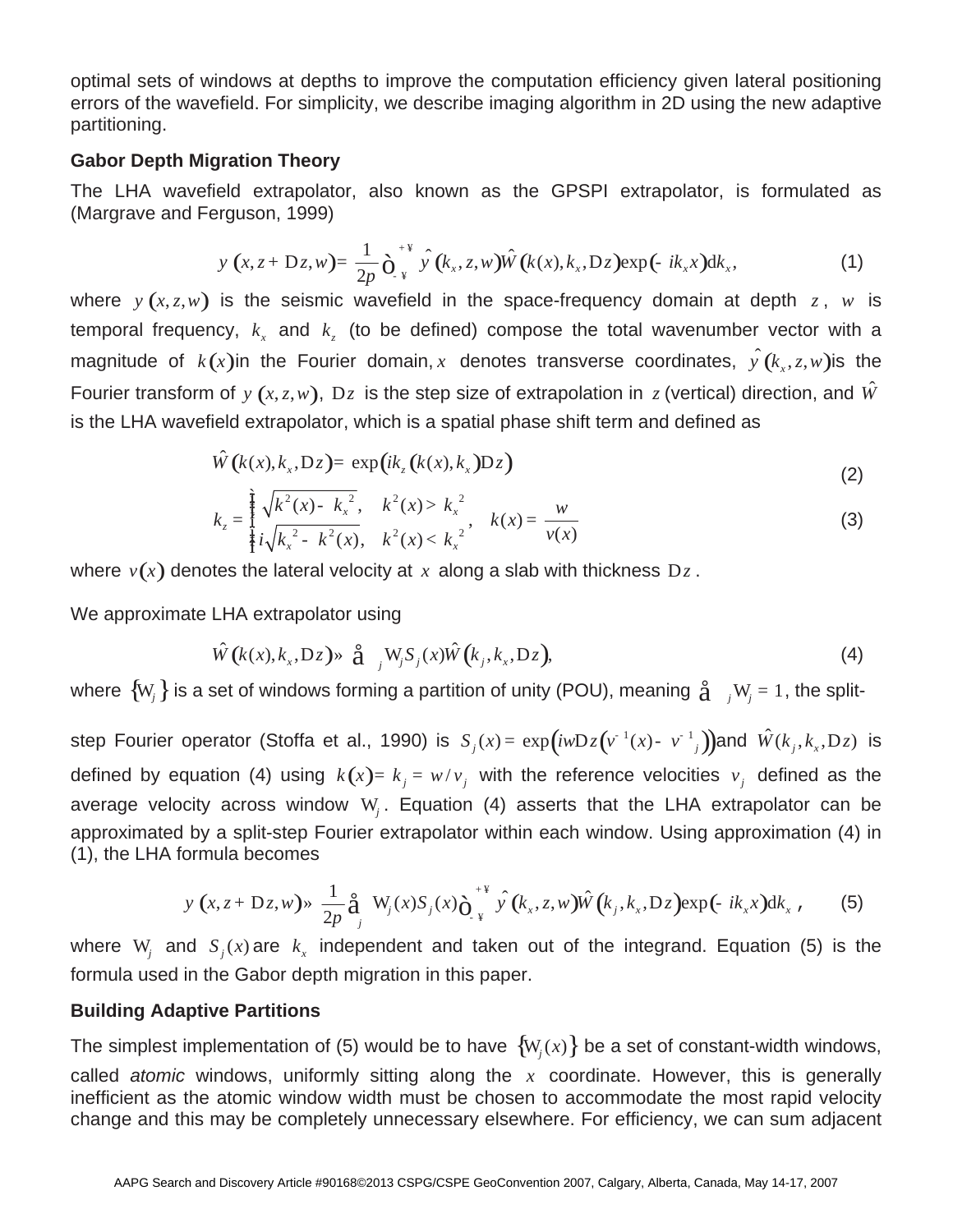optimal sets of windows at depths to improve the computation efficiency given lateral positioning errors of the wavefield. For simplicity, we describe imaging algorithm in 2D using the new adaptive partitioning.

### **Gabor Depth Migration Theory**

The LHA wavefield extrapolator, also known as the GPSPI extrapolator, is formulated as (Margrave and Ferguson, 1999)

$$
y(x, z + Dz, w) = \frac{1}{2p} \partial_{x}^{+\frac{w}{2}} \hat{y}(k_x, z, w) \hat{W}(k(x), k_x, Dz) \exp(-ik_x x) dk_x,
$$
 (1)

where  $y(x, z, w)$  is the seismic wavefield in the space-frequency domain at depth  $z$ ,  $w$  is temporal frequency,  $k<sub>x</sub>$  and  $k<sub>z</sub>$  (to be defined) compose the total wavenumber vector with a magnitude of  $k(x)$ in the Fourier domain, *x* denotes transverse coordinates,  $\hat{y}(k_x, z, w)$  is the Fourier transform of  $y(x, z, w)$ ,  $Dz$  is the step size of extrapolation in z (vertical) direction, and  $\hat{W}$ is the LHA wavefield extrapolator, which is a spatial phase shift term and defined as

$$
\hat{W}(k(x), k_x, Dz) = \exp\left(ik_z(k(x), k_x)Dz\right)
$$
\n(2)

$$
k_{z} = \frac{\tilde{k}}{\tilde{k}} \sqrt{k^{2}(x) - k_{x}^{2}}, \quad k^{2}(x) > k_{x}^{2}, \quad k(x) = \frac{w}{v(x)}
$$
(3)

where  $v(x)$  denotes the lateral velocity at x along a slab with thickness  $Dz$ .

We approximate LHA extrapolator using

$$
\hat{W}(k(x), k_x, Dz) \gg \hat{a} \quad W_j S_j(x) \hat{W}(k_j, k_x, Dz), \tag{4}
$$

where  $\{W_i\}$  is a set of windows forming a partition of unity (POU), meaning  $\hat{A}$  *j* W<sub>i</sub> = 1, the split-

step Fourier operator (Stoffa et al., 1990) is  $S_j(x) = \exp(iwDz(v^{-1}(x) - v^{-1}))$  and  $\hat{W}(k_j, k_x, Dz)$  is defined by equation (4) using  $k(x) = k_i = w/v_i$  with the reference velocities  $v_i$  defined as the average velocity across window W*<sup>j</sup>* . Equation (4) asserts that the LHA extrapolator can be approximated by a split-step Fourier extrapolator within each window. Using approximation (4) in (1), the LHA formula becomes

$$
y(x, z + Dz, w) \gg \frac{1}{2p} \hat{a}_{j} W_{j}(x) S_{j}(x) \hat{O}_{x}^{* \Psi} \hat{y}(k_{x}, z, w) \hat{W}(k_{j}, k_{x}, Dz) \exp(-ik_{x}x) dk_{x}, \quad (5)
$$

where  $W_i$  and  $S_i(x)$  are  $k_x$  independent and taken out of the integrand. Equation (5) is the formula used in the Gabor depth migration in this paper.

# **Building Adaptive Partitions**

The simplest implementation of (5) would be to have  $\{W_i(x)\}$  be a set of constant-width windows, called *atomic* windows, uniformly sitting along the *x* coordinate. However, this is generally inefficient as the atomic window width must be chosen to accommodate the most rapid velocity change and this may be completely unnecessary elsewhere. For efficiency, we can sum adjacent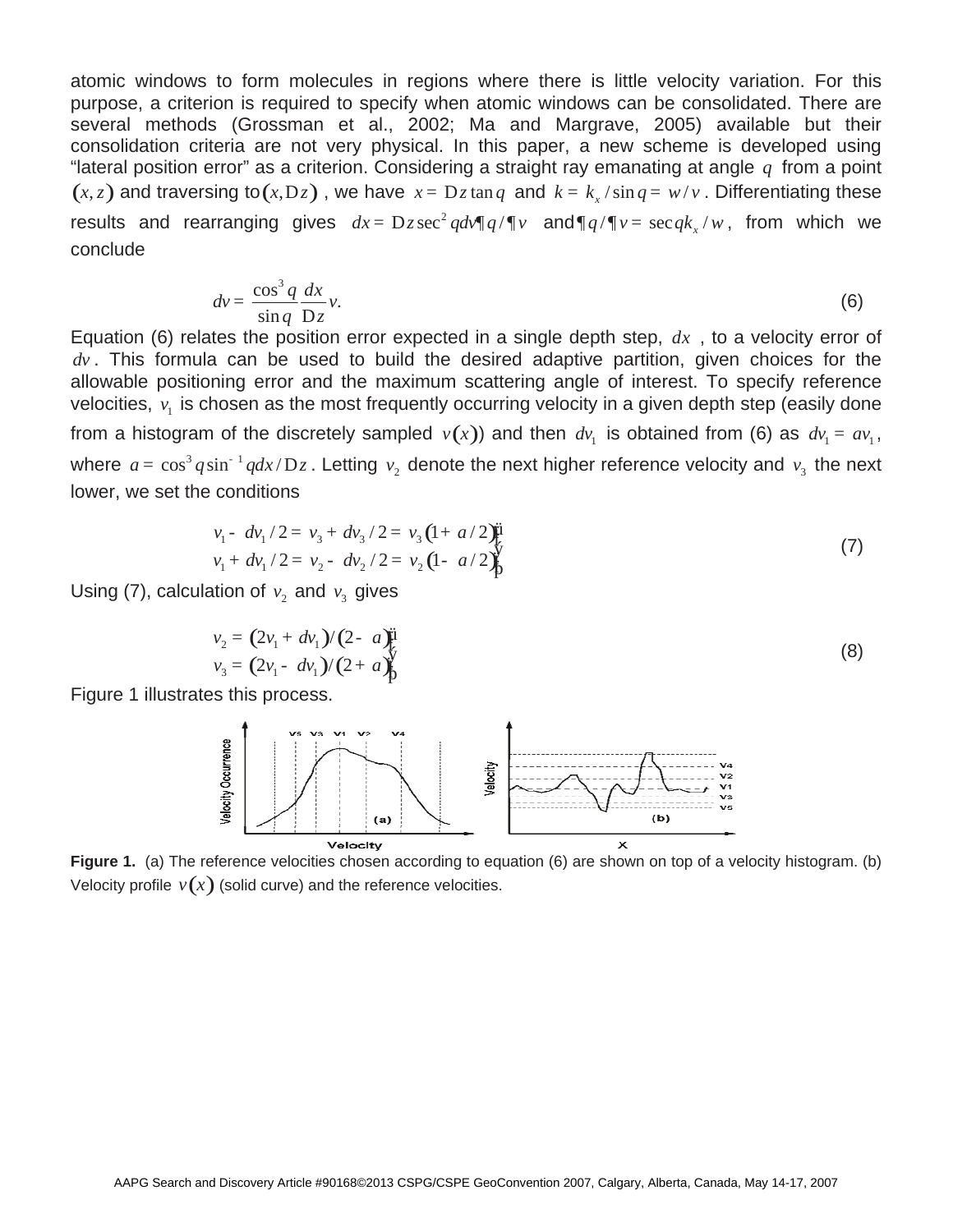atomic windows to form molecules in regions where there is little velocity variation. For this purpose, a criterion is required to specify when atomic windows can be consolidated. There are several methods (Grossman et al., 2002; Ma and Margrave, 2005) available but their consolidation criteria are not very physical. In this paper, a new scheme is developed using "lateral position error" as a criterion. Considering a straight ray emanating at angle *q* from a point  $(x, z)$  and traversing to  $(x, Dz)$ , we have  $x = Dz \tan q$  and  $k = k_x / \sin q = w / v$ . Differentiating these results and rearranging gives  $dx = Dz \sec^2 q d v \sqrt{q} q / \sqrt{v}$  and  $\sqrt{q} v = \sec q k / w$ , from which we conclude

$$
dv = \frac{\cos^3 q}{\sin q} \frac{dx}{Dz} v.
$$
 (6)

Equation (6) relates the position error expected in a single depth step,  $dx$ , to a velocity error of  $dv$ . This formula can be used to build the desired adaptive partition, given choices for the allowable positioning error and the maximum scattering angle of interest. To specify reference velocities,  $v_1$  is chosen as the most frequently occurring velocity in a given depth step (easily done from a histogram of the discretely sampled  $v(x)$ ) and then  $dv_1$  is obtained from (6) as  $dv_1 = av_1$ , where  $a = \cos^3 q \sin^{-1} q dx/Dz$ . Letting  $v_2$  denote the next higher reference velocity and  $v_3$  the next lower, we set the conditions

$$
v_1 - dv_1/2 = v_3 + dv_3/2 = v_3 (1 + a/2) \ddot{\mu}
$$
  
\n
$$
v_1 + dv_1/2 = v_2 - dv_2/2 = v_2 (1 - a/2) \ddot{\mu}
$$
 (7)

Using (7), calculation of  $v_2$  and  $v_3$  gives

$$
v_2 = (2v_1 + dv_1)/(2 - a)\ddot{\mathbf{i}}v_3 = (2v_1 - dv_1)/(2 + a)\ddot{\mathbf{j}}(8)
$$

Figure 1 illustrates this process.



**Figure 1.** (a) The reference velocities chosen according to equation (6) are shown on top of a velocity histogram. (b) Velocity profile  $v(x)$  (solid curve) and the reference velocities.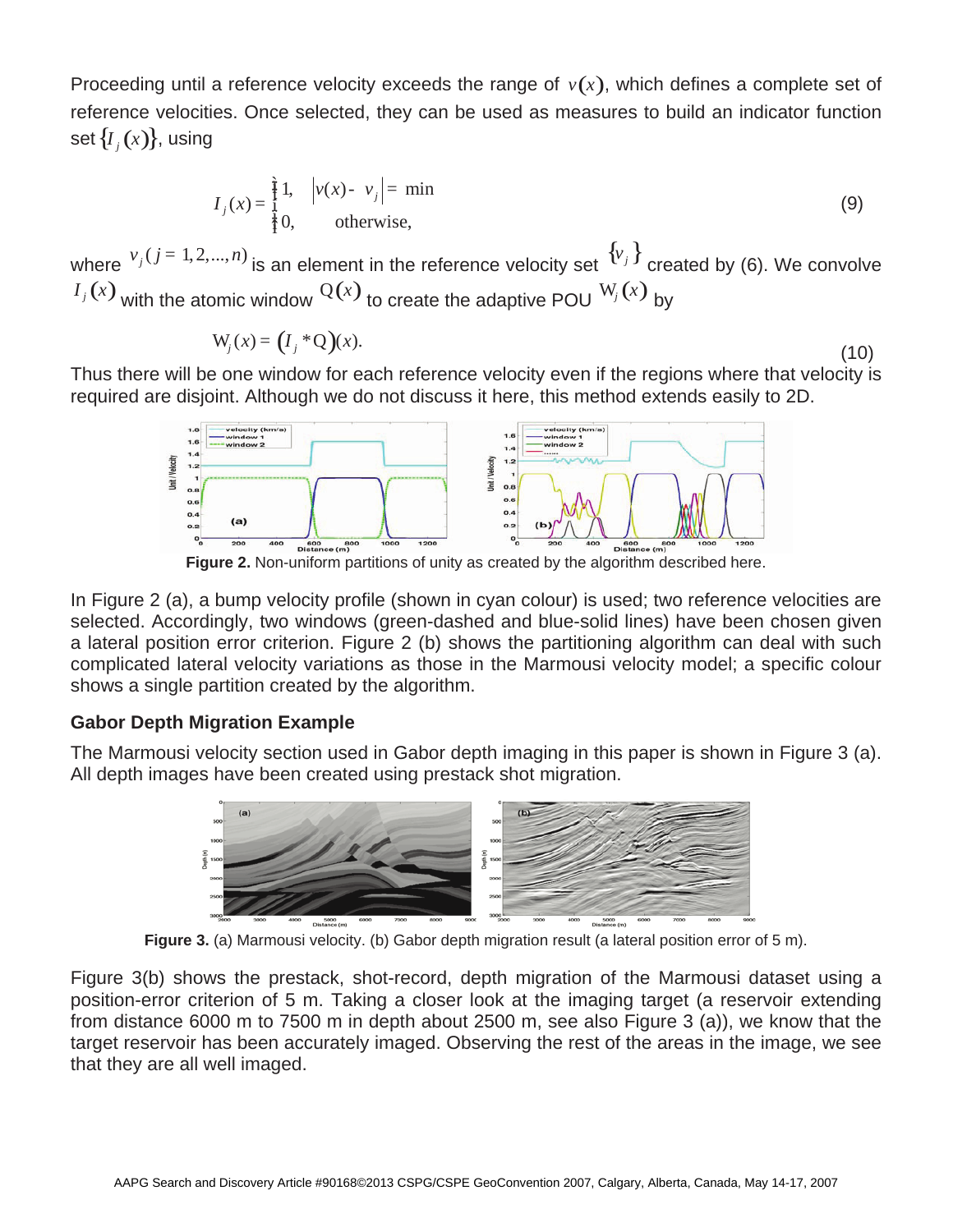Proceeding until a reference velocity exceeds the range of  $v(x)$ , which defines a complete set of reference velocities. Once selected, they can be used as measures to build an indicator function set  $\{I_i(x)\}\$ , using

$$
I_j(x) = \frac{\hat{f}}{\hat{f}} 1, \quad \left| v(x) - v_j \right| = \min_{\hat{f} \in \mathcal{F}} \tag{9}
$$

where  $v_j$  ( $j = 1, 2,..., n$ ) is an element in the reference velocity set  ${v_j \brace \text{created by (6)}}$ . We convolve  $I_j(x)$  with the atomic window  $Q(x)$  to create the adaptive POU  $W_j(x)$  by

$$
W_j(x) = (I_j * Q)(x). \tag{10}
$$

Thus there will be one window for each reference velocity even if the regions where that velocity is required are disjoint. Although we do not discuss it here, this method extends easily to 2D.



**Figure 2.** Non-uniform partitions of unity as created by the algorithm described here.

In Figure 2 (a), a bump velocity profile (shown in cyan colour) is used; two reference velocities are selected. Accordingly, two windows (green-dashed and blue-solid lines) have been chosen given a lateral position error criterion. Figure 2 (b) shows the partitioning algorithm can deal with such complicated lateral velocity variations as those in the Marmousi velocity model; a specific colour shows a single partition created by the algorithm.

# **Gabor Depth Migration Example**

The Marmousi velocity section used in Gabor depth imaging in this paper is shown in Figure 3 (a). All depth images have been created using prestack shot migration.



**Figure 3.** (a) Marmousi velocity. (b) Gabor depth migration result (a lateral position error of 5 m).

Figure 3(b) shows the prestack, shot-record, depth migration of the Marmousi dataset using a position-error criterion of 5 m. Taking a closer look at the imaging target (a reservoir extending from distance 6000 m to 7500 m in depth about 2500 m, see also Figure 3 (a)), we know that the target reservoir has been accurately imaged. Observing the rest of the areas in the image, we see that they are all well imaged.